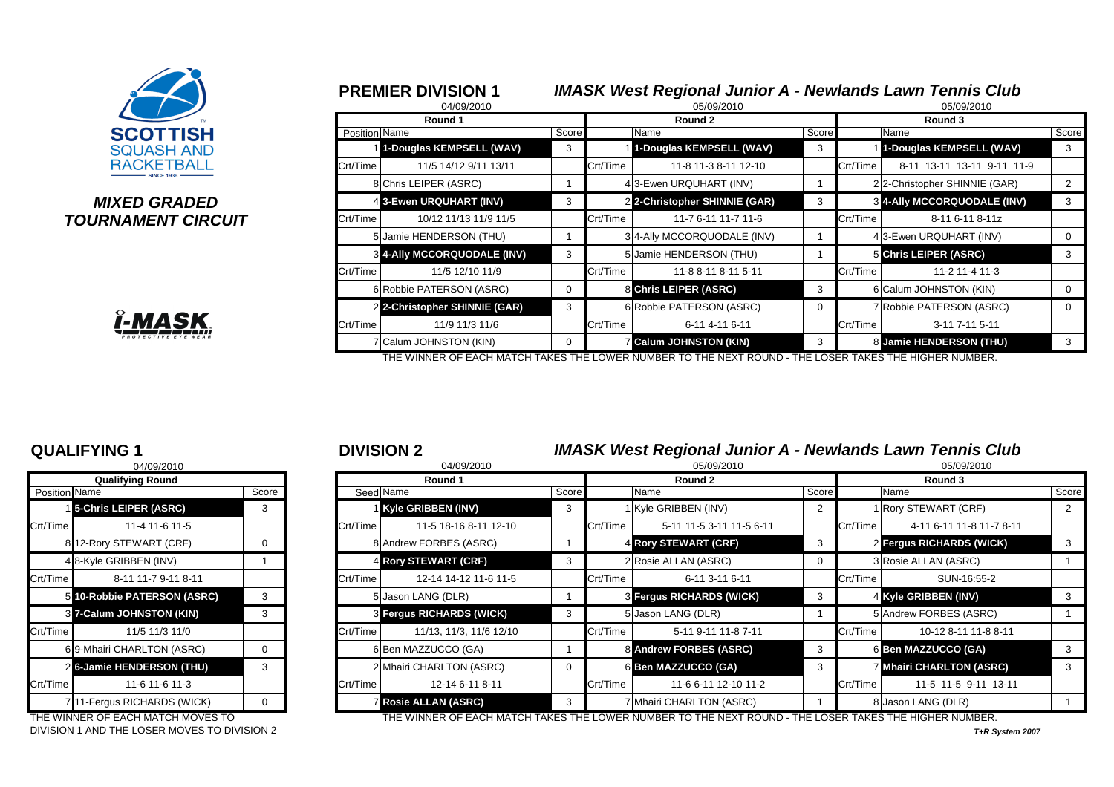

### *MIXED GRADED* **TOURNAMENT CIRCUIT**



|               | <b>PREMIER DIVISION 1</b><br>04/09/2010 |              |          | <b>IMASK West Regional Junior A - Newlands Lawn Tennis Club</b><br>05/09/2010 |             |          | 05/09/2010                         |       |
|---------------|-----------------------------------------|--------------|----------|-------------------------------------------------------------------------------|-------------|----------|------------------------------------|-------|
|               | Round 1                                 |              |          | Round 2                                                                       |             |          | Round 3                            |       |
| Position Name |                                         | <b>Score</b> |          | Name                                                                          | Score       |          | Name                               | Score |
|               | 1-Douglas KEMPSELL (WAV)                | 3            |          | 1-Douglas KEMPSELL (WAV)                                                      | 3           |          | 1-Douglas KEMPSELL (WAV)           | 3     |
| Crt/Time      | 11/5 14/12 9/11 13/11                   |              | Crt/Time | 11-8 11-3 8-11 12-10                                                          |             | Crt/Time | 8-11 13-11 13-11 9-11 11-9         |       |
|               | 8 Chris LEIPER (ASRC)                   |              |          | 43-Ewen URQUHART (INV)                                                        |             |          | 22-Christopher SHINNIE (GAR)       | 2     |
|               | 4 3-Ewen URQUHART (INV)                 | 3            |          | 2 2-Christopher SHINNIE (GAR)                                                 | 3           |          | <b>3 4-Ally MCCORQUODALE (INV)</b> | 3     |
| Crt/Time      | 10/12 11/13 11/9 11/5                   |              | Crt/Time | 11-7 6-11 11-7 11-6                                                           |             | Crt/Time | 8-11 6-11 8-11z                    |       |
|               | 5 Jamie HENDERSON (THU)                 |              |          | 3 4-Ally MCCORQUODALE (INV)                                                   |             |          | 43-Ewen URQUHART (INV)             |       |
|               | <b>8 4-Ally MCCORQUODALE (INV)</b>      | 3            |          | 5 Jamie HENDERSON (THU)                                                       |             |          | 5 Chris LEIPER (ASRC)              | 3     |
| Crt/Time      | 11/5 12/10 11/9                         |              | Crt/Time | 11-8 8-11 8-11 5-11                                                           |             | Crt/Time | 11-2 11-4 11-3                     |       |
|               | 6 Robbie PATERSON (ASRC)                | 0            |          | 8 Chris LEIPER (ASRC)                                                         | 3           |          | 6 Calum JOHNSTON (KIN)             |       |
|               | 2 2-Christopher SHINNIE (GAR)           | 3            |          | 6 Robbie PATERSON (ASRC)                                                      | $\mathbf 0$ |          | 7 Robbie PATERSON (ASRC)           |       |
| Crt/Time      | 11/9 11/3 11/6                          |              | Crt/Time | 6-11 4-11 6-11                                                                |             | Crt/Time | 3-11 7-11 5-11                     |       |
|               | 7 Calum JOHNSTON (KIN)                  | $\Omega$     |          | <b>Z Calum JOHNSTON (KIN)</b>                                                 | 3           |          | 8 Jamie HENDERSON (THU)            | 3     |

THE WINNER OF EACH MATCH TAKES THE LOWER NUMBER TO THE NEXT ROUND - THE LOSER TAKES THE HIGHER NUMBER.

|               | <b>Qualifying Round</b>          |       |
|---------------|----------------------------------|-------|
| Position Name |                                  | Score |
|               | 15-Chris LEIPER (ASRC)           | 3     |
| Crt/Time      | 11-4 11-6 11-5                   |       |
|               | 812-Rory STEWART (CRF)           | 0     |
|               | 48-Kyle GRIBBEN (INV)            | 1     |
| Crt/Time      | 8-11 11-7 9-11 8-11              |       |
| 5             | <b>10-Robbie PATERSON (ASRC)</b> | 3     |
| 31            | 7-Calum JOHNSTON (KIN)           | 3     |
| Crt/Time      | 11/5 11/3 11/0                   |       |
|               | 69-Mhairi CHARLTON (ASRC)        | 0     |
| 2             | <b>6-Jamie HENDERSON (THU)</b>   | 3     |
| Crt/Time      | 11-6 11-6 11-3                   |       |
| 7             | 11-Fergus RICHARDS (WICK)        | O     |

DIVISION 1 AND THE LOSER MOVES TO DIVISION 2 *T+R System 2007*

### **QUALIFYING 1** <sup>1</sup> <sup>2</sup> **DIVISION 2** *IMASK West Regional Junior A - Newlands Lawn Tennis Club*

|               | 04/09/2010                    |              |          | 04/09/2010                      |       |          | 05/09/2010                      |                                 |          | 05/09/2010                      |       |  |
|---------------|-------------------------------|--------------|----------|---------------------------------|-------|----------|---------------------------------|---------------------------------|----------|---------------------------------|-------|--|
|               | <b>Qualifying Round</b>       |              |          | Round 1                         |       |          | Round 2                         | Round 3                         |          |                                 |       |  |
| Position Name |                               | Score        |          | Seed Name                       | Score |          | Name                            | <sub>I</sub> Score <sup>■</sup> |          | Name                            | Score |  |
|               | <b>15-Chris LEIPER (ASRC)</b> | 3            |          | Kyle GRIBBEN (INV)              |       |          | 1 Kyle GRIBBEN (INV)            |                                 |          | 1 Rory STEWART (CRF)            |       |  |
| Crt/Time      | 11-4 11-6 11-5                |              | Crt/Time | 11-5 18-16 8-11 12-10           |       | Crt/Time | 5-11 11-5 3-11 11-5 6-11        |                                 | Crt/Time | 4-11 6-11 11-8 11-7 8-11        |       |  |
|               | 812-Rory STEWART (CRF)        | 0            |          | 8 Andrew FORBES (ASRC)          |       |          | 4 Rory STEWART (CRF)            |                                 |          | <b>2 Fergus RICHARDS (WICK)</b> |       |  |
|               | 4 8-Kyle GRIBBEN (INV)        |              |          | 4 Rory STEWART (CRF)            |       |          | 2 Rosie ALLAN (ASRC)            |                                 |          | 3 Rosie ALLAN (ASRC)            |       |  |
| Crt/Time      | 8-11 11-7 9-11 8-11           |              | Crt/Time | 12-14 14-12 11-6 11-5           |       | Crt/Time | 6-11 3-11 6-11                  |                                 | Crt/Time | SUN-16:55-2                     |       |  |
|               | 5 10-Robbie PATERSON (ASRC)   | 3            |          | 5 Jason LANG (DLR)              |       |          | <b>3 Fergus RICHARDS (WICK)</b> |                                 |          | 4 Kyle GRIBBEN (INV)            |       |  |
|               | 3 7-Calum JOHNSTON (KIN)      | 3            |          | <b>3 Fergus RICHARDS (WICK)</b> |       |          | 5 Jason LANG (DLR)              |                                 |          | 5 Andrew FORBES (ASRC)          |       |  |
| Crt/Time      | 11/5 11/3 11/0                |              | Crt/Time | 11/13, 11/3, 11/6 12/10         |       | Crt/Time | 5-11 9-11 11-8 7-11             |                                 | Crt/Time | 10-12 8-11 11-8 8-11            |       |  |
|               | 69-Mhairi CHARLTON (ASRC)     | $\mathbf{0}$ |          | 6 Ben MAZZUCCO (GA)             |       |          | 8 Andrew FORBES (ASRC)          |                                 |          | 6 Ben MAZZUCCO (GA)             |       |  |
|               | 2 6-Jamie HENDERSON (THU)     | 3            |          | 2 Mhairi CHARLTON (ASRC)        |       |          | 6 Ben MAZZUCCO (GA)             |                                 |          | <b>7 Mhairi CHARLTON (ASRC)</b> |       |  |
| Crt/Time      | 11-6 11-6 11-3                |              | Crt/Time | 12-14 6-11 8-11                 |       | Crt/Time | 11-6 6-11 12-10 11-2            |                                 | Crt/Time | 11-5 11-5 9-11 13-11            |       |  |
|               | 711-Fergus RICHARDS (WICK)    | 0            |          | <b>Rosie ALLAN (ASRC)</b>       |       |          | Mhairi CHARLTON (ASRC)          |                                 |          | 8 Jason LANG (DLR)              |       |  |
|               |                               |              |          |                                 |       |          |                                 |                                 |          |                                 |       |  |

THE WINNER OF EACH MATCH MOVES TO THE THE WINNER OF EACH MATCH TAKES THE LOWER NUMBER TO THE NEXT ROUND - THE LOSER TAKES THE HIGHER NUMBER.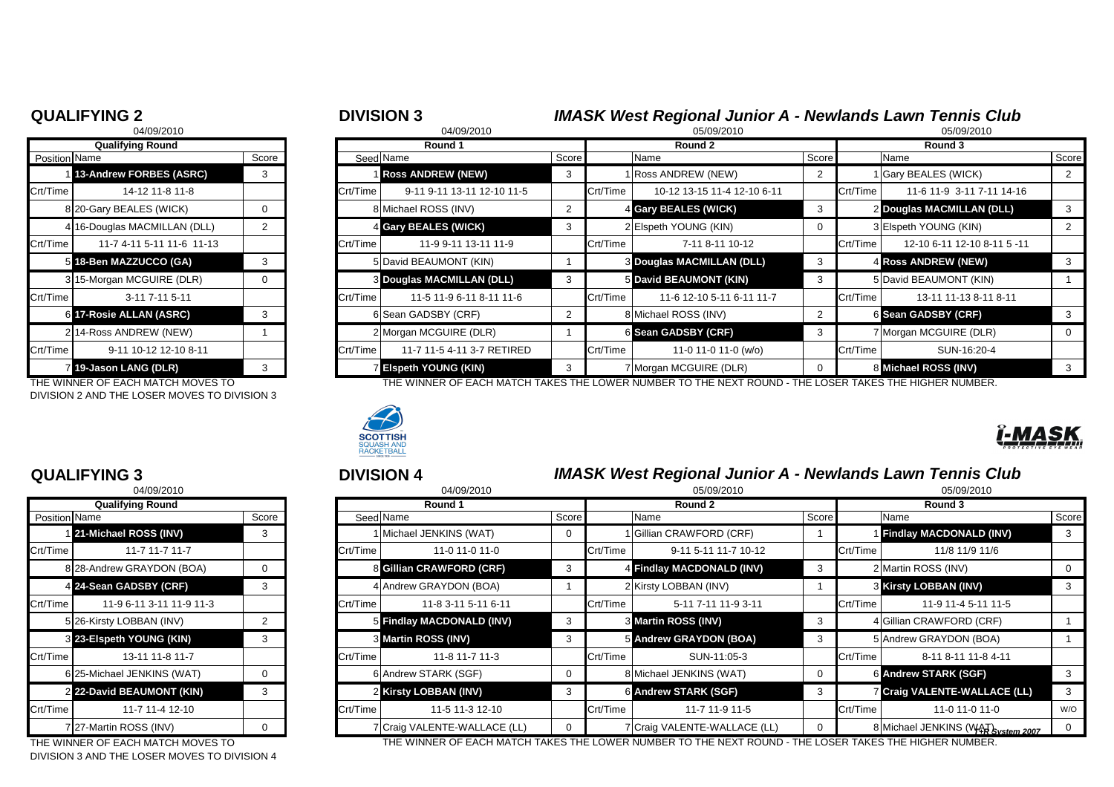### **QUALIFYING 2** <sup>2</sup> <sup>3</sup> **DIVISION 3** *IMASK West Regional Junior A - Newlands Lawn Tennis Club*

|                | <b>Qualifying Round</b>      |       |
|----------------|------------------------------|-------|
| Position Name  |                              | Score |
| 1              | 13-Andrew FORBES (ASRC)      | 3     |
| Crt/Time       | 14-12 11-8 11-8              |       |
|                | 8 20-Gary BEALES (WICK)      | O     |
|                | 4 16-Douglas MACMILLAN (DLL) | 2     |
| Crt/Time       | 11-7 4-11 5-11 11-6 11-13    |       |
| 51             | 18-Ben MAZZUCCO (GA)         | 3     |
|                | 3 15-Morgan MCGUIRE (DLR)    | ი     |
| Crt/Time       | 3-11 7-11 5-11               |       |
| 6              | <b>17-Rosie ALLAN (ASRC)</b> | 3     |
| $\overline{2}$ | 14-Ross ANDREW (NEW)         | 1     |
| Crt/Time       | 9-11 10-12 12-10 8-11        |       |
| $\overline{7}$ | 19-Jason LANG (DLR)          | 3     |

DIVISION 2 AND THE LOSER MOVES TO DIVISION 3

|               | 04/09/2010                   |       |          | 04/09/2010                       |       |          | 05/09/2010                       |         | 05/09/2010 |                             |       |
|---------------|------------------------------|-------|----------|----------------------------------|-------|----------|----------------------------------|---------|------------|-----------------------------|-------|
|               | <b>Qualifying Round</b>      |       |          | Round 1                          |       |          | Round 2                          | Round 3 |            |                             |       |
| Position Name |                              | Score |          | Seed Name                        | Score |          | Name                             |         | Score      | Name                        | Score |
|               | 1 13-Andrew FORBES (ASRC)    | 3     |          | <b>Ross ANDREW (NEW)</b>         |       |          | 1 Ross ANDREW (NEW)              |         |            | 1 Gary BEALES (WICK)        |       |
| Crt/Time      | 14-12 11-8 11-8              |       | Crt/Time | 9-11 9-11 13-11 12-10 11-5       |       | Crt/Time | 10-12 13-15 11-4 12-10 6-11      |         | Crt/Time   | 11-6 11-9 3-11 7-11 14-16   |       |
|               | 8 20-Gary BEALES (WICK)      | 0     |          | 8 Michael ROSS (INV)             |       |          | 4 Gary BEALES (WICK)             |         |            | 2 Douglas MACMILLAN (DLL)   |       |
|               | 4 16-Douglas MACMILLAN (DLL) |       |          | 4 Gary BEALES (WICK)             |       |          | 2 Elspeth YOUNG (KIN)            |         |            | 3 Elspeth YOUNG (KIN)       |       |
| Crt/Time      | 11-7 4-11 5-11 11-6 11-13    |       | Crt/Time | 11-9 9-11 13-11 11-9             |       | Crt/Time | 7-11 8-11 10-12                  |         | Crt/Time   | 12-10 6-11 12-10 8-11 5 -11 |       |
|               | 5 18-Ben MAZZUCCO (GA)       | 3     |          | 5 David BEAUMONT (KIN)           |       |          | <b>3 Douglas MACMILLAN (DLL)</b> |         |            | <b>4 Ross ANDREW (NEW)</b>  |       |
|               | 3 15-Morgan MCGUIRE (DLR)    | 0     |          | <b>3 Douglas MACMILLAN (DLL)</b> |       |          | 5 David BEAUMONT (KIN)           |         |            | 5 David BEAUMONT (KIN)      |       |
| Crt/Time      | $3-11$ 7-11 5-11             |       | Crt/Time | 11-5 11-9 6-11 8-11 11-6         |       | Crt/Time | 11-6 12-10 5-11 6-11 11-7        |         | Crt/Time   | 13-11 11-13 8-11 8-11       |       |
|               | 6 17-Rosie ALLAN (ASRC)      | 3     |          | 6 Sean GADSBY (CRF)              |       |          | 8 Michael ROSS (INV)             |         |            | 6 Sean GADSBY (CRF)         |       |
|               | 214-Ross ANDREW (NEW)        |       |          | 2 Morgan MCGUIRE (DLR)           |       |          | 6 Sean GADSBY (CRF)              |         |            | 7 Morgan MCGUIRE (DLR)      |       |
| Crt/Time      | 9-11 10-12 12-10 8-11        |       | Crt/Time | 11-7 11-5 4-11 3-7 RETIRED       |       | Crt/Time | 11-0 11-0 11-0 (w/o)             |         | Crt/Time   | SUN-16:20-4                 |       |
|               | 7 19-Jason LANG (DLR)        |       |          | <b>Elspeth YOUNG (KIN)</b>       |       |          | 7 Morgan MCGUIRE (DLR)           |         |            | <b>B</b> Michael ROSS (INV) |       |

THE WINNER OF EACH MATCH MOVES TO THE THE WINNER OF EACH MATCH TAKES THE LOWER NUMBER TO THE NEXT ROUND - THE LOSER TAKES THE HIGHER NUMBER.



|                | 04/09/2010                 |       |
|----------------|----------------------------|-------|
|                | <b>Qualifying Round</b>    |       |
| Position Name  |                            | Score |
|                | 1 21-Michael ROSS (INV)    | 3     |
| Crt/Time       | 11-7 11-7 11-7             |       |
|                | 8 28-Andrew GRAYDON (BOA)  | 0     |
|                | 4 24-Sean GADSBY (CRF)     | 3     |
| Crt/Time       | 11-9 6-11 3-11 11-9 11-3   |       |
|                | 5 26-Kirsty LOBBAN (INV)   | 2     |
|                | 3 23-Elspeth YOUNG (KIN)   | 3     |
| Crt/Time       | 13-11 11-8 11-7            |       |
|                | 6 25-Michael JENKINS (WAT) | 0     |
| $\overline{2}$ | 22-David BEAUMONT (KIN)    | 3     |
| Crt/Time       | 11-7 11-4 12-10            |       |
|                | 7 27-Martin ROSS (INV)     | O     |

DIVISION 3 AND THE LOSER MOVES TO DIVISION 4

# **QUALIFYING 3** <sup>3</sup> <sup>4</sup> **DIVISION 4** *IMASK West Regional Junior A - Newlands Lawn Tennis Club*

|          | 04/09/2010                                                                                                                                                                                                                                                                                   |   |          | 04/09/2010                   |  |          | 05/09/2010                                                                                          |       |          | 05/09/2010                         |       |
|----------|----------------------------------------------------------------------------------------------------------------------------------------------------------------------------------------------------------------------------------------------------------------------------------------------|---|----------|------------------------------|--|----------|-----------------------------------------------------------------------------------------------------|-------|----------|------------------------------------|-------|
|          | <b>Qualifying Round</b>                                                                                                                                                                                                                                                                      |   |          | Round 1                      |  |          | Round 2                                                                                             |       |          | Round 3                            |       |
|          | Position Name<br>Score<br>1 21-Michael ROSS (INV)<br>11-7 11-7 11-7<br>8 28-Andrew GRAYDON (BOA)<br>4 24-Sean GADSBY (CRF)<br>11-9 6-11 3-11 11-9 11-3<br>5 26-Kirsty LOBBAN (INV)<br>3 23-Elspeth YOUNG (KIN)<br>13-11 11-8 11-7<br>6 25-Michael JENKINS (WAT)<br>2 22-David BEAUMONT (KIN) |   |          | Seed Name<br>Score           |  |          | Name                                                                                                | Score |          | Name                               | Score |
|          |                                                                                                                                                                                                                                                                                              | 3 |          | 1 Michael JENKINS (WAT)      |  |          | 1 Gillian CRAWFORD (CRF)                                                                            |       |          | <b>Findlay MACDONALD (INV)</b>     |       |
| Crt/Time |                                                                                                                                                                                                                                                                                              |   | Crt/Time | 11-0 11-0 11-0               |  | Crt/Time | 9-11 5-11 11-7 10-12                                                                                |       | Crt/Time | 11/8 11/9 11/6                     |       |
|          |                                                                                                                                                                                                                                                                                              | 0 |          | 8 Gillian CRAWFORD (CRF)     |  |          | 4 Findlay MACDONALD (INV)                                                                           |       |          | 2 Martin ROSS (INV)                |       |
|          |                                                                                                                                                                                                                                                                                              | 3 |          | 4 Andrew GRAYDON (BOA)       |  |          | 2 Kirsty LOBBAN (INV)                                                                               |       |          | <b>3 Kirsty LOBBAN (INV)</b>       |       |
| Crt/Time |                                                                                                                                                                                                                                                                                              |   | Crt/Time | 11-8 3-11 5-11 6-11          |  | Crt/Time | 5-11 7-11 11-9 3-11                                                                                 |       | Crt/Time | 11-9 11-4 5-11 11-5                |       |
|          |                                                                                                                                                                                                                                                                                              |   |          | 5 Findlay MACDONALD (INV)    |  |          | 3 Martin ROSS (INV)                                                                                 | -3    |          | 4 Gillian CRAWFORD (CRF)           |       |
|          |                                                                                                                                                                                                                                                                                              | 3 |          | <b>3 Martin ROSS (INV)</b>   |  |          | 5 Andrew GRAYDON (BOA)                                                                              |       |          | 5 Andrew GRAYDON (BOA)             |       |
| Crt/Time |                                                                                                                                                                                                                                                                                              |   | Crt/Time | 11-8 11-7 11-3               |  | Crt/Time | SUN-11:05-3                                                                                         |       | Crt/Time | 8-11 8-11 11-8 4-11                |       |
|          |                                                                                                                                                                                                                                                                                              | 0 |          | 6 Andrew STARK (SGF)         |  |          | 8 Michael JENKINS (WAT)                                                                             |       |          | <b>6 Andrew STARK (SGF)</b>        |       |
|          |                                                                                                                                                                                                                                                                                              | 3 |          | 2 Kirsty LOBBAN (INV)        |  |          | <b>6 Andrew STARK (SGF)</b>                                                                         |       |          | 7 Craig VALENTE-WALLACE (LL)       |       |
| Crt/Time | 11-7 11-4 12-10                                                                                                                                                                                                                                                                              |   | Crt/Time | 11-5 11-3 12-10              |  | Crt/Time | 11-7 11-9 11-5                                                                                      |       | Crt/Time | 11-0 11-0 11-0                     | W/O   |
|          |                                                                                                                                                                                                                                                                                              | 0 |          | 7 Craig VALENTE-WALLACE (LL) |  |          | 7 Craig VALENTE-WALLACE (LL)                                                                        |       |          | 8 Michael JENKINS (WAT System 2007 |       |
|          | 727-Martin ROSS (INV)<br>TUE WINDER OF FAQUIMATOU MOVEO TO                                                                                                                                                                                                                                   |   |          |                              |  |          | THE WINNER OF EACH MATOLITALIES THE LOWER NUMBER TO THE NEVT ROUND. THE LOGER TALLED HIGHER NUMBER. |       |          |                                    |       |

THE WINNER OF EACH MATCH MOVES TO THE WINNER OF EACH MATCH TAKES THE LOWER NUMBER TO THE NEXT ROUND - THE LOSER TAKES THE HIGHER NUMBER.

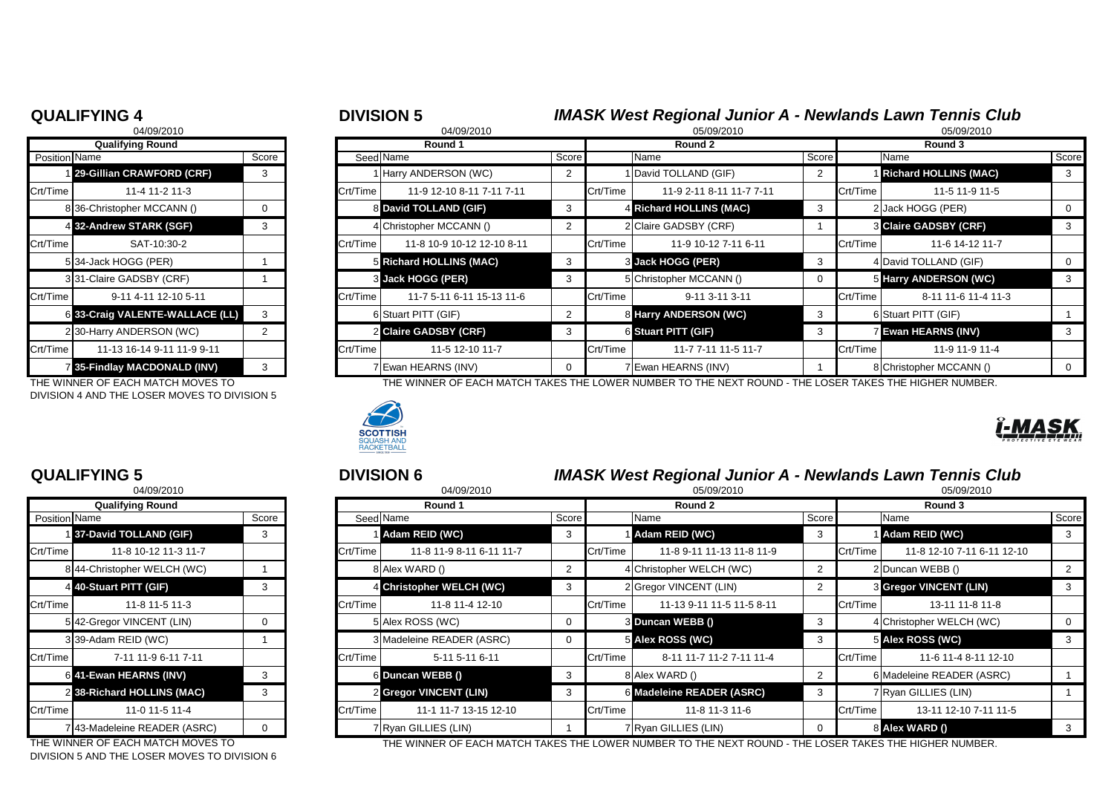|                | <b>Qualifying Round</b>       |                |
|----------------|-------------------------------|----------------|
| Position Name  |                               | Score          |
|                | 1 29-Gillian CRAWFORD (CRF)   | 3              |
| Crt/Time       | 11-4 11-2 11-3                |                |
|                | 836-Christopher MCCANN ()     | 0              |
|                | 4 32-Andrew STARK (SGF)       | 3              |
| Crt/Time       | SAT-10:30-2                   |                |
|                | 534-Jack HOGG (PER)           | 1              |
|                | 331-Claire GADSBY (CRF)       | 1              |
| Crt/Time       | 9-11 4-11 12-10 5-11          |                |
| 61             | 33-Craig VALENTE-WALLACE (LL) | 3              |
|                | 230-Harry ANDERSON (WC)       | $\overline{2}$ |
| Crt/Time       | 11-13 16-14 9-11 11-9 9-11    |                |
| $\overline{7}$ | 35-Findlay MACDONALD (INV)    | 3              |

DIVISION 4 AND THE LOSER MOVES TO DIVISION 5

|               | 04/09/2010                   |       |
|---------------|------------------------------|-------|
|               | <b>Qualifying Round</b>      |       |
| Position Name |                              | Score |
|               | 137-David TOLLAND (GIF)      | 3     |
| Crt/Time      | 11-8 10-12 11-3 11-7         |       |
|               | 844-Christopher WELCH (WC)   | 1     |
|               | 4 40-Stuart PITT (GIF)       | 3     |
| Crt/Time      | 11-8 11-5 11-3               |       |
|               | 5 42-Gregor VINCENT (LIN)    | U     |
|               | 339-Adam REID (WC)           |       |
| Crt/Time      | 7-11 11-9 6-11 7-11          |       |
| 61            | 41-Ewan HEARNS (INV)         | 3     |
|               | 2 38-Richard HOLLINS (MAC)   | 3     |
| Crt/Time      | 11-0 11-5 11-4               |       |
|               | 7 43-Madeleine READER (ASRC) |       |

DIVISION 5 AND THE LOSER MOVES TO DIVISION 6

## **QUALIFYING 4** <sup>4</sup> <sup>5</sup> **DIVISION 5** *IMASK West Regional Junior A - Newlands Lawn Tennis Club*

|               | 04/09/2010                                                                                                                                                                                                                                       |          |                       | 04/09/2010                                                                                                   |          |                            | 05/09/2010               |          | 05/09/2010                 |                              |       |
|---------------|--------------------------------------------------------------------------------------------------------------------------------------------------------------------------------------------------------------------------------------------------|----------|-----------------------|--------------------------------------------------------------------------------------------------------------|----------|----------------------------|--------------------------|----------|----------------------------|------------------------------|-------|
|               | <b>Qualifying Round</b>                                                                                                                                                                                                                          |          |                       | Round 1                                                                                                      |          |                            | Round 2                  | Round 3  |                            |                              |       |
| Position Name |                                                                                                                                                                                                                                                  | Score    |                       | Seed Name                                                                                                    | Score    |                            | Name                     | Score    |                            | Name                         | Score |
|               | 1 29-Gillian CRAWFORD (CRF)<br>3<br>11-4 11-2 11-3<br>836-Christopher MCCANN ()<br>0<br>4 32-Andrew STARK (SGF)<br>3<br>SAT-10:30-2<br>534-Jack HOGG (PER)<br>331-Claire GADSBY (CRF)<br>9-11 4-11 12-10 5-11<br>6 33-Craig VALENTE-WALLACE (LL) |          |                       | 1 Harry ANDERSON (WC)                                                                                        |          |                            | 1 David TOLLAND (GIF)    |          |                            | <b>Richard HOLLINS (MAC)</b> |       |
| Crt/Time      |                                                                                                                                                                                                                                                  |          | Crt/Time              | 11-9 12-10 8-11 7-11 7-11                                                                                    |          | Crt/Time                   | 11-9 2-11 8-11 11-7 7-11 |          | Crt/Time                   | 11-5 11-9 11-5               |       |
|               |                                                                                                                                                                                                                                                  |          |                       | 8 David TOLLAND (GIF)                                                                                        |          |                            | 4 Richard HOLLINS (MAC)  |          |                            | 2 Jack HOGG (PER)            |       |
|               |                                                                                                                                                                                                                                                  |          |                       | 4 Christopher MCCANN ()                                                                                      |          |                            | 2 Claire GADSBY (CRF)    |          |                            | 3 Claire GADSBY (CRF)        |       |
| Crt/Time      |                                                                                                                                                                                                                                                  |          | Crt/Time              | 11-8 10-9 10-12 12-10 8-11                                                                                   |          | Crt/Time                   | 11-9 10-12 7-11 6-11     |          | Crt/Time                   | 11-6 14-12 11-7              |       |
|               |                                                                                                                                                                                                                                                  |          |                       | <b>5 Richard HOLLINS (MAC)</b>                                                                               |          |                            | <b>3 Jack HOGG (PER)</b> |          |                            | 4 David TOLLAND (GIF)        |       |
|               |                                                                                                                                                                                                                                                  |          |                       | <b>3</b> Jack HOGG (PER)                                                                                     |          |                            | 5 Christopher MCCANN ()  |          |                            | 5 Harry ANDERSON (WC)        |       |
| Crt/Time      |                                                                                                                                                                                                                                                  |          | Crt/Time              | 11-7 5-11 6-11 15-13 11-6                                                                                    |          | Crt/Time                   | 9-11 3-11 3-11           |          | Crt/Time                   | 8-11 11-6 11-4 11-3          |       |
|               |                                                                                                                                                                                                                                                  |          |                       | 6 Stuart PITT (GIF)                                                                                          |          |                            | 8 Harry ANDERSON (WC)    |          |                            | 6 Stuart PITT (GIF)          |       |
|               | 230-Harry ANDERSON (WC)                                                                                                                                                                                                                          |          | 2 Claire GADSBY (CRF) |                                                                                                              |          | <b>6 Stuart PITT (GIF)</b> |                          |          | <b>7 Ewan HEARNS (INV)</b> |                              |       |
| Crt/Time      | 11-13 16-14 9-11 11-9 9-11                                                                                                                                                                                                                       | Crt/Time | 11-5 12-10 11-7       |                                                                                                              | Crt/Time | 11-7 7-11 11-5 11-7        |                          | Crt/Time | 11-9 11-9 11-4             |                              |       |
|               | 7 35-Findlay MACDONALD (INV)                                                                                                                                                                                                                     | 3        |                       | VEwan HEARNS (INV)                                                                                           |          |                            | 7 Ewan HEARNS (INV)      |          |                            | 8 Christopher MCCANN ()      |       |
|               | THE WINNER OF FACH MATCH MOVES TO                                                                                                                                                                                                                |          |                       | THE WINNER OF FAQUIMATOU TAIZER THE LOWER NI IMPERITO THE NEVT ROUND. ITHE LORER TAIZER THE HIQUER NI IMPERI |          |                            |                          |          |                            |                              |       |

THE WINNER OF EACH MATCH MOVES TO THE WINNER OF EACH MATCH TAKES THE LOWER NUMBER TO THE NEXT ROUND - THE LOSER TAKES THE HIGHER NUMBER.



### **QUALIFYING 5** <sup>5</sup> <sup>6</sup> **DIVISION 6** *IMASK West Regional Junior A - Newlands Lawn Tennis Club*

|          | 04/09/2010                                                                                                |   |          | 04/09/2010                |   |          | 05/09/2010                |       |          | 05/09/2010                    |       |
|----------|-----------------------------------------------------------------------------------------------------------|---|----------|---------------------------|---|----------|---------------------------|-------|----------|-------------------------------|-------|
|          | <b>Qualifying Round</b><br>Position Name<br>Score<br>137-David TOLLAND (GIF)<br>3<br>11-8 10-12 11-3 11-7 |   |          | Round 1                   |   |          | Round 2                   |       |          | Round 3                       |       |
|          |                                                                                                           |   |          | Seed Name<br>Score        |   |          | Name                      | Score |          | Name                          | Score |
|          |                                                                                                           |   |          | Adam REID (WC)            |   |          | 1 Adam REID (WC)          |       |          | Adam REID (WC)                |       |
| Crt/Time |                                                                                                           |   | Crt/Time | 11-8 11-9 8-11 6-11 11-7  |   | Crt/Time | 11-8 9-11 11-13 11-8 11-9 |       | Crt/Time | 11-8 12-10 7-11 6-11 12-10    |       |
|          | 844-Christopher WELCH (WC)                                                                                |   |          | 8 Alex WARD ()            |   |          | 4 Christopher WELCH (WC)  |       |          | 2Duncan WEBB ()               |       |
|          | 4 40-Stuart PITT (GIF)                                                                                    | 3 |          | 4 Christopher WELCH (WC)  |   |          | 2 Gregor VINCENT (LIN)    |       |          | <b>3 Gregor VINCENT (LIN)</b> |       |
| Crt/Time | 11-8 11-5 11-3                                                                                            |   | Crt/Time | 11-8 11-4 12-10           |   | Crt/Time | 11-13 9-11 11-5 11-5 8-11 |       | Crt/Time | 13-11 11-8 11-8               |       |
|          | 542-Gregor VINCENT (LIN)                                                                                  | 0 |          | 5 Alex ROSS (WC)          |   |          | 3 Duncan WEBB ()          | -3    |          | 4 Christopher WELCH (WC)      |       |
|          | 339-Adam REID (WC)                                                                                        |   |          | 3 Madeleine READER (ASRC) |   |          | 5 Alex ROSS (WC)          |       |          | <b>5 Alex ROSS (WC)</b>       |       |
| Crt/Time | 7-11 11-9 6-11 7-11                                                                                       |   | Crt/Time | 5-11 5-11 6-11            |   | Crt/Time | 8-11 11-7 11-2 7-11 11-4  |       | Crt/Time | 11-6 11-4 8-11 12-10          |       |
|          | 6 41-Ewan HEARNS (INV)                                                                                    | 3 |          | 6 Duncan WEBB ()          | 3 |          | 8 Alex WARD ()            |       |          | 6 Madeleine READER (ASRC)     |       |
|          | 2 38-Richard HOLLINS (MAC)                                                                                | 3 |          | 2 Gregor VINCENT (LIN)    |   |          | 6 Madeleine READER (ASRC) |       |          | 7 Ryan GILLIES (LIN)          |       |
| Crt/Time | 11-0 11-5 11-4                                                                                            |   | Crt/Time | 11-1 11-7 13-15 12-10     |   | Crt/Time | 11-8 11-3 11-6            |       | Crt/Time | 13-11 12-10 7-11 11-5         |       |
|          | 743-Madeleine READER (ASRC)                                                                               | 0 |          | 7Ryan GILLIES (LIN)       |   |          | 7 Ryan GILLIES (LIN)      |       |          | 8 Alex WARD ()                |       |
|          |                                                                                                           |   |          |                           |   |          |                           |       |          |                               |       |

THE WINNER OF EACH MATCH MOVES TO THE WINNER OF EACH MATCH TAKES THE LOWER NUMBER TO THE NEXT ROUND - THE LOSER TAKES THE HIGHER NUMBER.

|  |  |  |  |  |  |  |  | 7                   |
|--|--|--|--|--|--|--|--|---------------------|
|  |  |  |  |  |  |  |  | PROTECTIVE EYE WEAR |